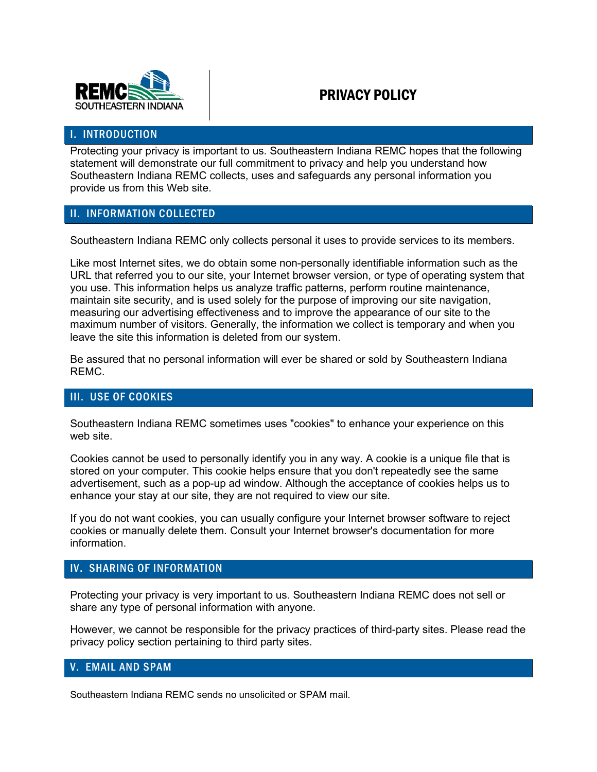

# PRIVACY POLICY

#### I. INTRODUCTION

Protecting your privacy is important to us. Southeastern Indiana REMC hopes that the following statement will demonstrate our full commitment to privacy and help you understand how Southeastern Indiana REMC collects, uses and safeguards any personal information you provide us from this Web site.

#### II. INFORMATION COLLECTED

Southeastern Indiana REMC only collects personal it uses to provide services to its members.

Like most Internet sites, we do obtain some non-personally identifiable information such as the URL that referred you to our site, your Internet browser version, or type of operating system that you use. This information helps us analyze traffic patterns, perform routine maintenance, maintain site security, and is used solely for the purpose of improving our site navigation, measuring our advertising effectiveness and to improve the appearance of our site to the maximum number of visitors. Generally, the information we collect is temporary and when you leave the site this information is deleted from our system.

Be assured that no personal information will ever be shared or sold by Southeastern Indiana REMC.

### III. USE OF COOKIES

Southeastern Indiana REMC sometimes uses "cookies" to enhance your experience on this web site.

Cookies cannot be used to personally identify you in any way. A cookie is a unique file that is stored on your computer. This cookie helps ensure that you don't repeatedly see the same advertisement, such as a pop-up ad window. Although the acceptance of cookies helps us to enhance your stay at our site, they are not required to view our site.

If you do not want cookies, you can usually configure your Internet browser software to reject cookies or manually delete them. Consult your Internet browser's documentation for more information.

#### IV. SHARING OF INFORMATION

Protecting your privacy is very important to us. Southeastern Indiana REMC does not sell or share any type of personal information with anyone.

However, we cannot be responsible for the privacy practices of third-party sites. Please read the privacy policy section pertaining to [third party sites.](http://isp1.us/privacy/#6)

#### V. EMAIL AND SPAM

Southeastern Indiana REMC sends no unsolicited or SPAM mail.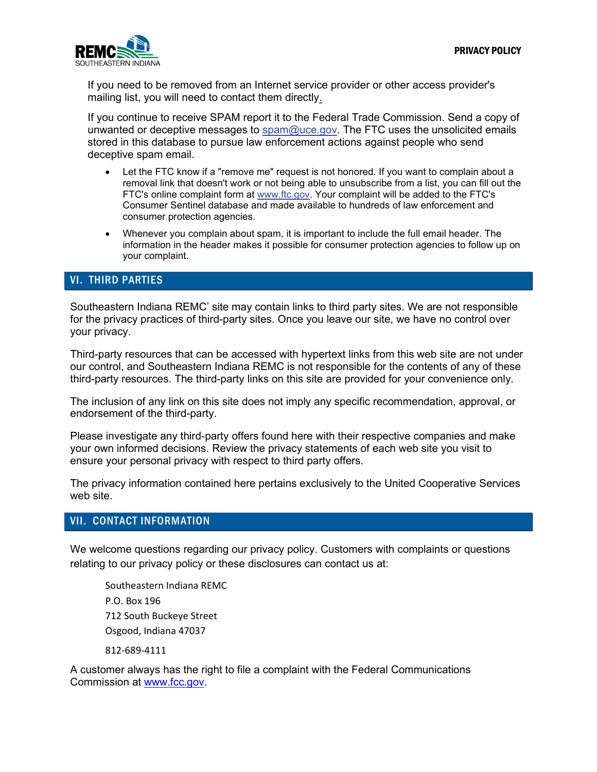

If you need to be removed from an Internet service provider or other access provider's mailing list, you will need to contact them directly.

If you continue to receive SPAM report it to the Federal Trade Commission. Send a copy of unwanted or deceptive messages to [spam@uce.gov.](mailto:spam@uce.gov) The FTC uses the unsolicited emails stored in this database to pursue law enforcement actions against people who send deceptive spam email.

- Let the FTC know if a "remove me" request is not honored. If you want to complain about a removal link that doesn't work or not being able to unsubscribe from a list, you can fill out the FTC's online complaint form at [www.ftc.gov.](http://www.ftc.gov/) Your complaint will be added to the FTC's Consumer Sentinel database and made available to hundreds of law enforcement and consumer protection agencies.
- Whenever you complain about spam, it is important to include the full email header. The information in the header makes it possible for consumer protection agencies to follow up on your complaint.

#### VI. THIRD PARTIES

Southeastern Indiana REMC' site may contain links to third party sites. We are not responsible for the privacy practices of third-party sites. Once you leave our site, we have no control over your privacy.

Third-party resources that can be accessed with hypertext links from this web site are not under our control, and Southeastern Indiana REMC is not responsible for the contents of any of these third-party resources. The third-party links on this site are provided for your convenience only.

The inclusion of any link on this site does not imply any specific recommendation, approval, or endorsement of the third-party.

Please investigate any third-party offers found here with their respective companies and make your own informed decisions. Review the privacy statements of each web site you visit to ensure your personal privacy with respect to third party offers.

The privacy information contained here pertains exclusively to the United Cooperative Services web site.

#### VII. CONTACT INFORMATION

We welcome questions regarding our privacy policy. Customers with complaints or questions relating to our privacy policy or these disclosures can contact us at:

Southeastern Indiana REMC P.O. Box 196 712 South Buckeye Street Osgood, Indiana 47037

812-689-4111

A customer always has the right to file a complaint with the Federal Communications Commission at [www.fcc.gov.](http://www.fcc.gov/)